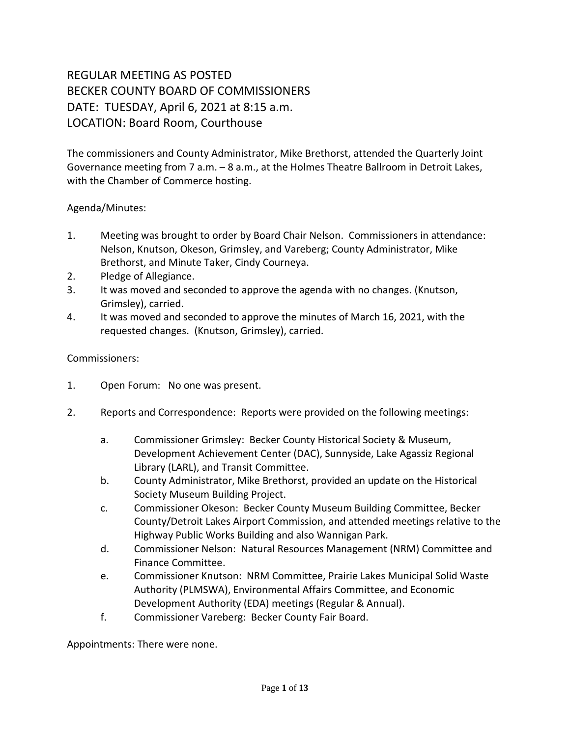# REGULAR MEETING AS POSTED BECKER COUNTY BOARD OF COMMISSIONERS DATE: TUESDAY, April 6, 2021 at 8:15 a.m. LOCATION: Board Room, Courthouse

The commissioners and County Administrator, Mike Brethorst, attended the Quarterly Joint Governance meeting from 7 a.m. – 8 a.m., at the Holmes Theatre Ballroom in Detroit Lakes, with the Chamber of Commerce hosting.

## Agenda/Minutes:

- 1. Meeting was brought to order by Board Chair Nelson. Commissioners in attendance: Nelson, Knutson, Okeson, Grimsley, and Vareberg; County Administrator, Mike Brethorst, and Minute Taker, Cindy Courneya.
- 2. Pledge of Allegiance.
- 3. It was moved and seconded to approve the agenda with no changes. (Knutson, Grimsley), carried.
- 4. It was moved and seconded to approve the minutes of March 16, 2021, with the requested changes. (Knutson, Grimsley), carried.

### Commissioners:

- 1. Open Forum: No one was present.
- 2. Reports and Correspondence: Reports were provided on the following meetings:
	- a. Commissioner Grimsley: Becker County Historical Society & Museum, Development Achievement Center (DAC), Sunnyside, Lake Agassiz Regional Library (LARL), and Transit Committee.
	- b. County Administrator, Mike Brethorst, provided an update on the Historical Society Museum Building Project.
	- c. Commissioner Okeson: Becker County Museum Building Committee, Becker County/Detroit Lakes Airport Commission, and attended meetings relative to the Highway Public Works Building and also Wannigan Park.
	- d. Commissioner Nelson: Natural Resources Management (NRM) Committee and Finance Committee.
	- e. Commissioner Knutson: NRM Committee, Prairie Lakes Municipal Solid Waste Authority (PLMSWA), Environmental Affairs Committee, and Economic Development Authority (EDA) meetings (Regular & Annual).
	- f. Commissioner Vareberg: Becker County Fair Board.

Appointments: There were none.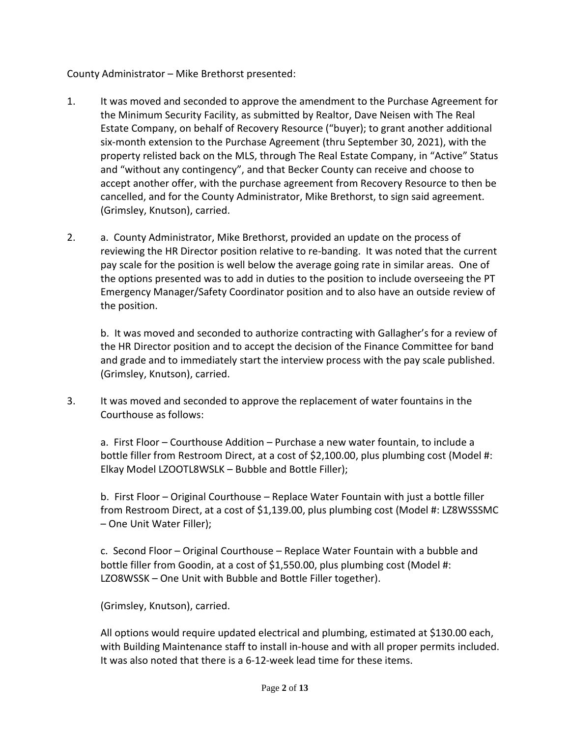County Administrator – Mike Brethorst presented:

- 1. It was moved and seconded to approve the amendment to the Purchase Agreement for the Minimum Security Facility, as submitted by Realtor, Dave Neisen with The Real Estate Company, on behalf of Recovery Resource ("buyer); to grant another additional six-month extension to the Purchase Agreement (thru September 30, 2021), with the property relisted back on the MLS, through The Real Estate Company, in "Active" Status and "without any contingency", and that Becker County can receive and choose to accept another offer, with the purchase agreement from Recovery Resource to then be cancelled, and for the County Administrator, Mike Brethorst, to sign said agreement. (Grimsley, Knutson), carried.
- 2. a. County Administrator, Mike Brethorst, provided an update on the process of reviewing the HR Director position relative to re-banding. It was noted that the current pay scale for the position is well below the average going rate in similar areas. One of the options presented was to add in duties to the position to include overseeing the PT Emergency Manager/Safety Coordinator position and to also have an outside review of the position.

b. It was moved and seconded to authorize contracting with Gallagher's for a review of the HR Director position and to accept the decision of the Finance Committee for band and grade and to immediately start the interview process with the pay scale published. (Grimsley, Knutson), carried.

3. It was moved and seconded to approve the replacement of water fountains in the Courthouse as follows:

a. First Floor – Courthouse Addition – Purchase a new water fountain, to include a bottle filler from Restroom Direct, at a cost of \$2,100.00, plus plumbing cost (Model #: Elkay Model LZOOTL8WSLK – Bubble and Bottle Filler);

b. First Floor – Original Courthouse – Replace Water Fountain with just a bottle filler from Restroom Direct, at a cost of \$1,139.00, plus plumbing cost (Model #: LZ8WSSSMC – One Unit Water Filler);

c. Second Floor – Original Courthouse – Replace Water Fountain with a bubble and bottle filler from Goodin, at a cost of \$1,550.00, plus plumbing cost (Model #: LZO8WSSK – One Unit with Bubble and Bottle Filler together).

(Grimsley, Knutson), carried.

All options would require updated electrical and plumbing, estimated at \$130.00 each, with Building Maintenance staff to install in-house and with all proper permits included. It was also noted that there is a 6-12-week lead time for these items.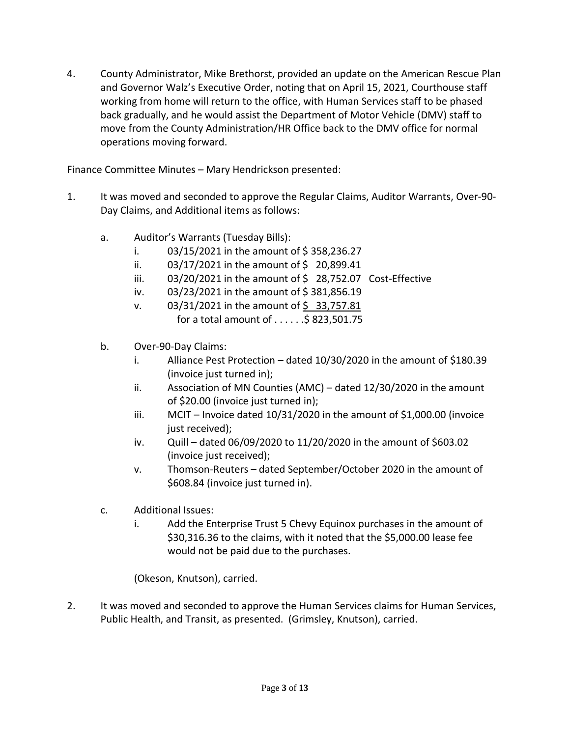4. County Administrator, Mike Brethorst, provided an update on the American Rescue Plan and Governor Walz's Executive Order, noting that on April 15, 2021, Courthouse staff working from home will return to the office, with Human Services staff to be phased back gradually, and he would assist the Department of Motor Vehicle (DMV) staff to move from the County Administration/HR Office back to the DMV office for normal operations moving forward.

Finance Committee Minutes – Mary Hendrickson presented:

- 1. It was moved and seconded to approve the Regular Claims, Auditor Warrants, Over-90- Day Claims, and Additional items as follows:
	- a. Auditor's Warrants (Tuesday Bills):
		- i.  $03/15/2021$  in the amount of \$358,236.27
		- ii.  $03/17/2021$  in the amount of \$ 20,899.41
		- iii.  $03/20/2021$  in the amount of \$ 28,752.07 Cost-Effective
		- iv.  $03/23/2021$  in the amount of \$381,856.19
		- v.  $03/31/2021$  in the amount of \$33,757.81 for a total amount of  $\dots$ :  $\frac{5}{5}$  823,501.75
	- b. Over-90-Day Claims:
		- i. Alliance Pest Protection dated 10/30/2020 in the amount of \$180.39 (invoice just turned in);
		- ii. Association of MN Counties (AMC) dated 12/30/2020 in the amount of \$20.00 (invoice just turned in);
		- iii. MCIT Invoice dated 10/31/2020 in the amount of \$1,000.00 (invoice just received);
		- iv. Quill dated 06/09/2020 to 11/20/2020 in the amount of \$603.02 (invoice just received);
		- v. Thomson-Reuters dated September/October 2020 in the amount of \$608.84 (invoice just turned in).
	- c. Additional Issues:
		- i. Add the Enterprise Trust 5 Chevy Equinox purchases in the amount of \$30,316.36 to the claims, with it noted that the \$5,000.00 lease fee would not be paid due to the purchases.

(Okeson, Knutson), carried.

2. It was moved and seconded to approve the Human Services claims for Human Services, Public Health, and Transit, as presented. (Grimsley, Knutson), carried.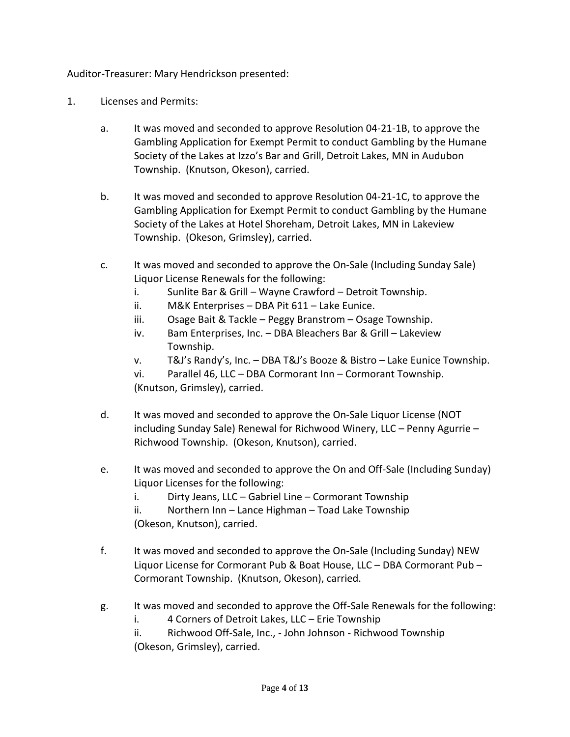Auditor-Treasurer: Mary Hendrickson presented:

- 1. Licenses and Permits:
	- a. It was moved and seconded to approve Resolution 04-21-1B, to approve the Gambling Application for Exempt Permit to conduct Gambling by the Humane Society of the Lakes at Izzo's Bar and Grill, Detroit Lakes, MN in Audubon Township. (Knutson, Okeson), carried.
	- b. It was moved and seconded to approve Resolution 04-21-1C, to approve the Gambling Application for Exempt Permit to conduct Gambling by the Humane Society of the Lakes at Hotel Shoreham, Detroit Lakes, MN in Lakeview Township. (Okeson, Grimsley), carried.
	- c. It was moved and seconded to approve the On-Sale (Including Sunday Sale) Liquor License Renewals for the following:
		- i. Sunlite Bar & Grill Wayne Crawford Detroit Township.
		- ii. M&K Enterprises DBA Pit 611 Lake Eunice.
		- iii. Osage Bait & Tackle Peggy Branstrom Osage Township.
		- iv. Bam Enterprises, Inc. DBA Bleachers Bar & Grill Lakeview Township.
		- v. T&J's Randy's, Inc. DBA T&J's Booze & Bistro Lake Eunice Township.
		- vi. Parallel 46, LLC DBA Cormorant Inn Cormorant Township. (Knutson, Grimsley), carried.
	- d. It was moved and seconded to approve the On-Sale Liquor License (NOT including Sunday Sale) Renewal for Richwood Winery, LLC – Penny Agurrie – Richwood Township. (Okeson, Knutson), carried.
	- e. It was moved and seconded to approve the On and Off-Sale (Including Sunday) Liquor Licenses for the following:
		- i. Dirty Jeans, LLC Gabriel Line Cormorant Township

ii. Northern Inn – Lance Highman – Toad Lake Township (Okeson, Knutson), carried.

- f. It was moved and seconded to approve the On-Sale (Including Sunday) NEW Liquor License for Cormorant Pub & Boat House, LLC – DBA Cormorant Pub – Cormorant Township. (Knutson, Okeson), carried.
- g. It was moved and seconded to approve the Off-Sale Renewals for the following:
	- i. 4 Corners of Detroit Lakes, LLC Erie Township

ii. Richwood Off-Sale, Inc., - John Johnson - Richwood Township (Okeson, Grimsley), carried.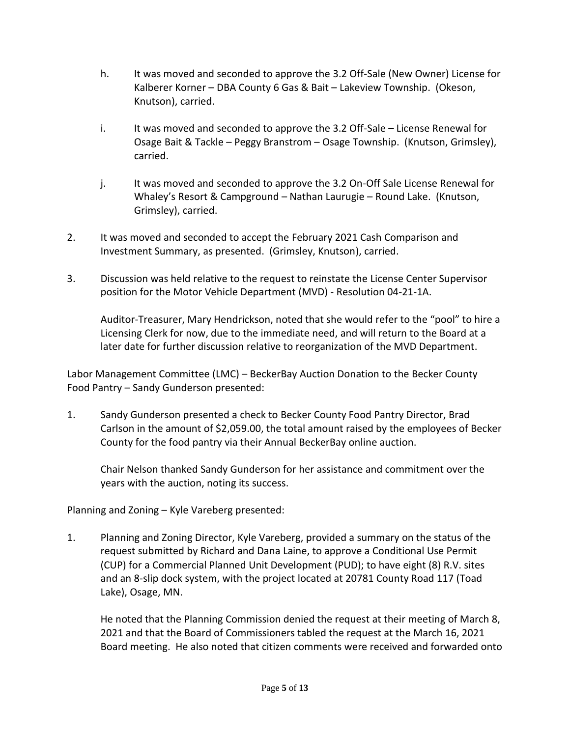- h. It was moved and seconded to approve the 3.2 Off-Sale (New Owner) License for Kalberer Korner – DBA County 6 Gas & Bait – Lakeview Township. (Okeson, Knutson), carried.
- i. It was moved and seconded to approve the 3.2 Off-Sale License Renewal for Osage Bait & Tackle – Peggy Branstrom – Osage Township. (Knutson, Grimsley), carried.
- j. It was moved and seconded to approve the 3.2 On-Off Sale License Renewal for Whaley's Resort & Campground – Nathan Laurugie – Round Lake. (Knutson, Grimsley), carried.
- 2. It was moved and seconded to accept the February 2021 Cash Comparison and Investment Summary, as presented. (Grimsley, Knutson), carried.
- 3. Discussion was held relative to the request to reinstate the License Center Supervisor position for the Motor Vehicle Department (MVD) - Resolution 04-21-1A.

Auditor-Treasurer, Mary Hendrickson, noted that she would refer to the "pool" to hire a Licensing Clerk for now, due to the immediate need, and will return to the Board at a later date for further discussion relative to reorganization of the MVD Department.

Labor Management Committee (LMC) – BeckerBay Auction Donation to the Becker County Food Pantry – Sandy Gunderson presented:

1. Sandy Gunderson presented a check to Becker County Food Pantry Director, Brad Carlson in the amount of \$2,059.00, the total amount raised by the employees of Becker County for the food pantry via their Annual BeckerBay online auction.

Chair Nelson thanked Sandy Gunderson for her assistance and commitment over the years with the auction, noting its success.

Planning and Zoning – Kyle Vareberg presented:

1. Planning and Zoning Director, Kyle Vareberg, provided a summary on the status of the request submitted by Richard and Dana Laine, to approve a Conditional Use Permit (CUP) for a Commercial Planned Unit Development (PUD); to have eight (8) R.V. sites and an 8-slip dock system, with the project located at 20781 County Road 117 (Toad Lake), Osage, MN.

He noted that the Planning Commission denied the request at their meeting of March 8, 2021 and that the Board of Commissioners tabled the request at the March 16, 2021 Board meeting. He also noted that citizen comments were received and forwarded onto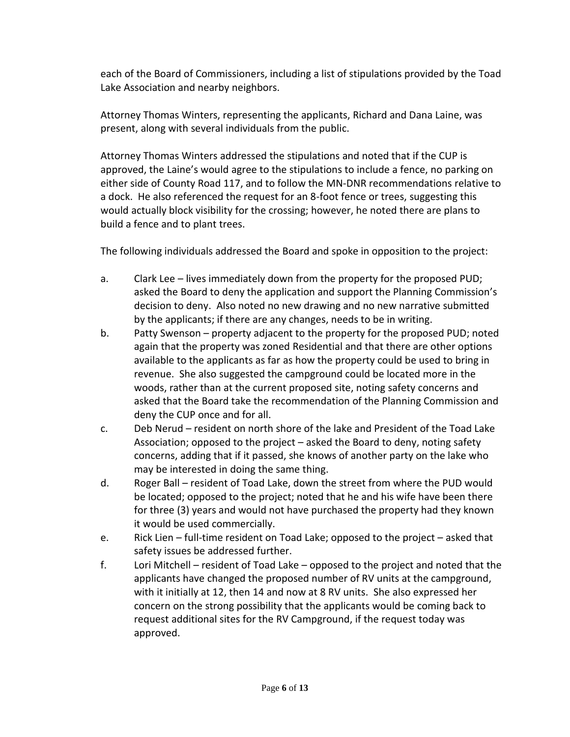each of the Board of Commissioners, including a list of stipulations provided by the Toad Lake Association and nearby neighbors.

Attorney Thomas Winters, representing the applicants, Richard and Dana Laine, was present, along with several individuals from the public.

Attorney Thomas Winters addressed the stipulations and noted that if the CUP is approved, the Laine's would agree to the stipulations to include a fence, no parking on either side of County Road 117, and to follow the MN-DNR recommendations relative to a dock. He also referenced the request for an 8-foot fence or trees, suggesting this would actually block visibility for the crossing; however, he noted there are plans to build a fence and to plant trees.

The following individuals addressed the Board and spoke in opposition to the project:

- a. Clark Lee lives immediately down from the property for the proposed PUD; asked the Board to deny the application and support the Planning Commission's decision to deny. Also noted no new drawing and no new narrative submitted by the applicants; if there are any changes, needs to be in writing.
- b. Patty Swenson property adjacent to the property for the proposed PUD; noted again that the property was zoned Residential and that there are other options available to the applicants as far as how the property could be used to bring in revenue. She also suggested the campground could be located more in the woods, rather than at the current proposed site, noting safety concerns and asked that the Board take the recommendation of the Planning Commission and deny the CUP once and for all.
- c. Deb Nerud resident on north shore of the lake and President of the Toad Lake Association; opposed to the project – asked the Board to deny, noting safety concerns, adding that if it passed, she knows of another party on the lake who may be interested in doing the same thing.
- d. Roger Ball resident of Toad Lake, down the street from where the PUD would be located; opposed to the project; noted that he and his wife have been there for three (3) years and would not have purchased the property had they known it would be used commercially.
- e. Rick Lien full-time resident on Toad Lake; opposed to the project asked that safety issues be addressed further.
- f. Lori Mitchell resident of Toad Lake opposed to the project and noted that the applicants have changed the proposed number of RV units at the campground, with it initially at 12, then 14 and now at 8 RV units. She also expressed her concern on the strong possibility that the applicants would be coming back to request additional sites for the RV Campground, if the request today was approved.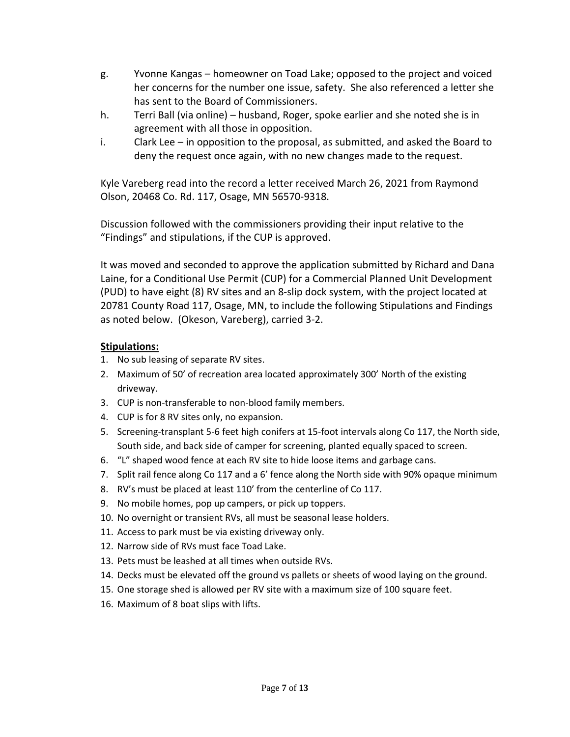- g. Yvonne Kangas homeowner on Toad Lake; opposed to the project and voiced her concerns for the number one issue, safety. She also referenced a letter she has sent to the Board of Commissioners.
- h. Terri Ball (via online) husband, Roger, spoke earlier and she noted she is in agreement with all those in opposition.
- i. Clark Lee in opposition to the proposal, as submitted, and asked the Board to deny the request once again, with no new changes made to the request.

Kyle Vareberg read into the record a letter received March 26, 2021 from Raymond Olson, 20468 Co. Rd. 117, Osage, MN 56570-9318.

Discussion followed with the commissioners providing their input relative to the "Findings" and stipulations, if the CUP is approved.

It was moved and seconded to approve the application submitted by Richard and Dana Laine, for a Conditional Use Permit (CUP) for a Commercial Planned Unit Development (PUD) to have eight (8) RV sites and an 8-slip dock system, with the project located at 20781 County Road 117, Osage, MN, to include the following Stipulations and Findings as noted below. (Okeson, Vareberg), carried 3-2.

## **Stipulations:**

- 1. No sub leasing of separate RV sites.
- 2. Maximum of 50' of recreation area located approximately 300' North of the existing driveway.
- 3. CUP is non-transferable to non-blood family members.
- 4. CUP is for 8 RV sites only, no expansion.
- 5. Screening-transplant 5-6 feet high conifers at 15-foot intervals along Co 117, the North side, South side, and back side of camper for screening, planted equally spaced to screen.
- 6. "L" shaped wood fence at each RV site to hide loose items and garbage cans.
- 7. Split rail fence along Co 117 and a 6' fence along the North side with 90% opaque minimum
- 8. RV's must be placed at least 110' from the centerline of Co 117.
- 9. No mobile homes, pop up campers, or pick up toppers.
- 10. No overnight or transient RVs, all must be seasonal lease holders.
- 11. Access to park must be via existing driveway only.
- 12. Narrow side of RVs must face Toad Lake.
- 13. Pets must be leashed at all times when outside RVs.
- 14. Decks must be elevated off the ground vs pallets or sheets of wood laying on the ground.
- 15. One storage shed is allowed per RV site with a maximum size of 100 square feet.
- 16. Maximum of 8 boat slips with lifts.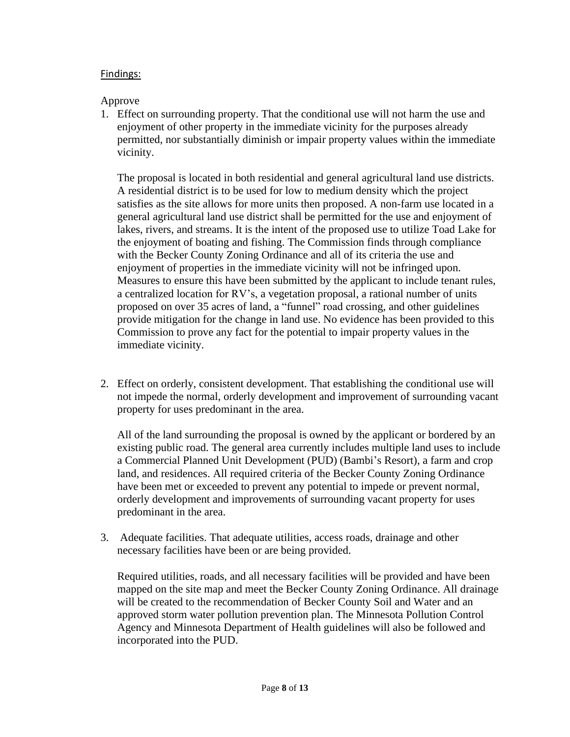### Findings:

### Approve

1. Effect on surrounding property. That the conditional use will not harm the use and enjoyment of other property in the immediate vicinity for the purposes already permitted, nor substantially diminish or impair property values within the immediate vicinity.

The proposal is located in both residential and general agricultural land use districts. A residential district is to be used for low to medium density which the project satisfies as the site allows for more units then proposed. A non-farm use located in a general agricultural land use district shall be permitted for the use and enjoyment of lakes, rivers, and streams. It is the intent of the proposed use to utilize Toad Lake for the enjoyment of boating and fishing. The Commission finds through compliance with the Becker County Zoning Ordinance and all of its criteria the use and enjoyment of properties in the immediate vicinity will not be infringed upon. Measures to ensure this have been submitted by the applicant to include tenant rules, a centralized location for RV's, a vegetation proposal, a rational number of units proposed on over 35 acres of land, a "funnel" road crossing, and other guidelines provide mitigation for the change in land use. No evidence has been provided to this Commission to prove any fact for the potential to impair property values in the immediate vicinity.

2. Effect on orderly, consistent development. That establishing the conditional use will not impede the normal, orderly development and improvement of surrounding vacant property for uses predominant in the area.

All of the land surrounding the proposal is owned by the applicant or bordered by an existing public road. The general area currently includes multiple land uses to include a Commercial Planned Unit Development (PUD) (Bambi's Resort), a farm and crop land, and residences. All required criteria of the Becker County Zoning Ordinance have been met or exceeded to prevent any potential to impede or prevent normal, orderly development and improvements of surrounding vacant property for uses predominant in the area.

3. Adequate facilities. That adequate utilities, access roads, drainage and other necessary facilities have been or are being provided.

Required utilities, roads, and all necessary facilities will be provided and have been mapped on the site map and meet the Becker County Zoning Ordinance. All drainage will be created to the recommendation of Becker County Soil and Water and an approved storm water pollution prevention plan. The Minnesota Pollution Control Agency and Minnesota Department of Health guidelines will also be followed and incorporated into the PUD.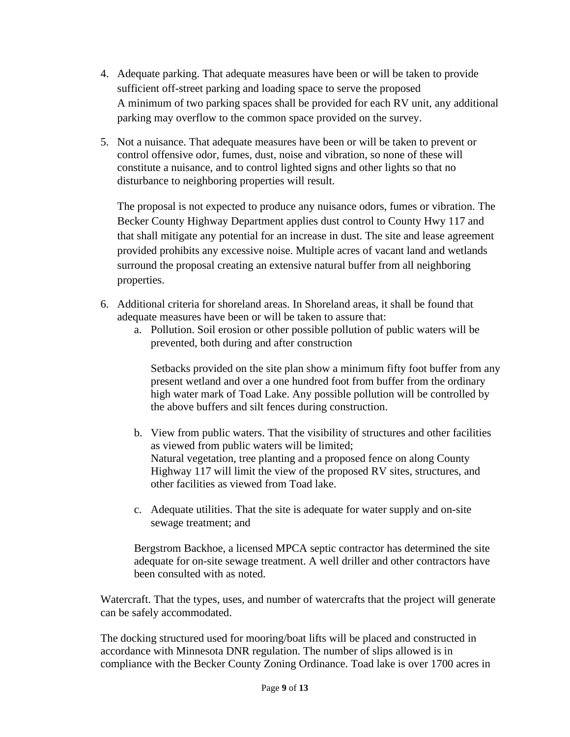- 4. Adequate parking. That adequate measures have been or will be taken to provide sufficient off-street parking and loading space to serve the proposed A minimum of two parking spaces shall be provided for each RV unit, any additional parking may overflow to the common space provided on the survey.
- 5. Not a nuisance. That adequate measures have been or will be taken to prevent or control offensive odor, fumes, dust, noise and vibration, so none of these will constitute a nuisance, and to control lighted signs and other lights so that no disturbance to neighboring properties will result.

The proposal is not expected to produce any nuisance odors, fumes or vibration. The Becker County Highway Department applies dust control to County Hwy 117 and that shall mitigate any potential for an increase in dust. The site and lease agreement provided prohibits any excessive noise. Multiple acres of vacant land and wetlands surround the proposal creating an extensive natural buffer from all neighboring properties.

- 6. Additional criteria for shoreland areas. In Shoreland areas, it shall be found that adequate measures have been or will be taken to assure that:
	- a. Pollution. Soil erosion or other possible pollution of public waters will be prevented, both during and after construction

Setbacks provided on the site plan show a minimum fifty foot buffer from any present wetland and over a one hundred foot from buffer from the ordinary high water mark of Toad Lake. Any possible pollution will be controlled by the above buffers and silt fences during construction.

- b. View from public waters. That the visibility of structures and other facilities as viewed from public waters will be limited; Natural vegetation, tree planting and a proposed fence on along County Highway 117 will limit the view of the proposed RV sites, structures, and other facilities as viewed from Toad lake.
- c. Adequate utilities. That the site is adequate for water supply and on-site sewage treatment; and

Bergstrom Backhoe, a licensed MPCA septic contractor has determined the site adequate for on-site sewage treatment. A well driller and other contractors have been consulted with as noted.

Watercraft. That the types, uses, and number of watercrafts that the project will generate can be safely accommodated.

The docking structured used for mooring/boat lifts will be placed and constructed in accordance with Minnesota DNR regulation. The number of slips allowed is in compliance with the Becker County Zoning Ordinance. Toad lake is over 1700 acres in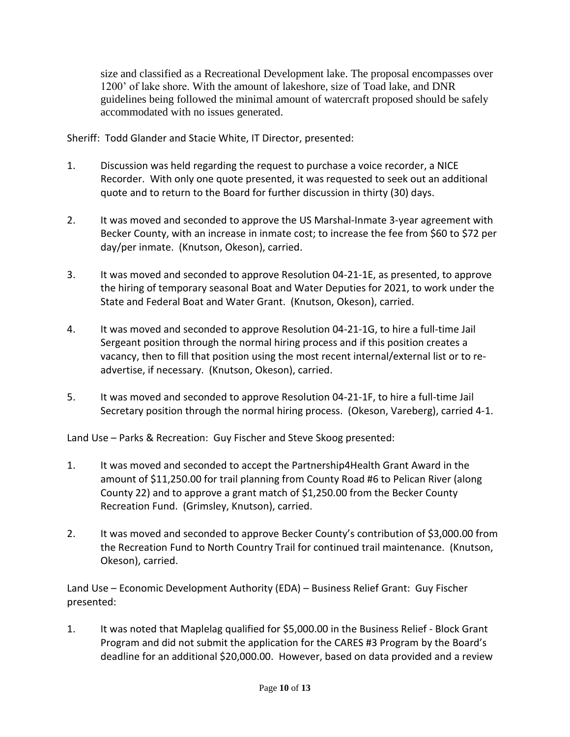size and classified as a Recreational Development lake. The proposal encompasses over 1200' of lake shore. With the amount of lakeshore, size of Toad lake, and DNR guidelines being followed the minimal amount of watercraft proposed should be safely accommodated with no issues generated.

Sheriff: Todd Glander and Stacie White, IT Director, presented:

- 1. Discussion was held regarding the request to purchase a voice recorder, a NICE Recorder. With only one quote presented, it was requested to seek out an additional quote and to return to the Board for further discussion in thirty (30) days.
- 2. It was moved and seconded to approve the US Marshal-Inmate 3-year agreement with Becker County, with an increase in inmate cost; to increase the fee from \$60 to \$72 per day/per inmate. (Knutson, Okeson), carried.
- 3. It was moved and seconded to approve Resolution 04-21-1E, as presented, to approve the hiring of temporary seasonal Boat and Water Deputies for 2021, to work under the State and Federal Boat and Water Grant. (Knutson, Okeson), carried.
- 4. It was moved and seconded to approve Resolution 04-21-1G, to hire a full-time Jail Sergeant position through the normal hiring process and if this position creates a vacancy, then to fill that position using the most recent internal/external list or to readvertise, if necessary. (Knutson, Okeson), carried.
- 5. It was moved and seconded to approve Resolution 04-21-1F, to hire a full-time Jail Secretary position through the normal hiring process. (Okeson, Vareberg), carried 4-1.

Land Use – Parks & Recreation: Guy Fischer and Steve Skoog presented:

- 1. It was moved and seconded to accept the Partnership4Health Grant Award in the amount of \$11,250.00 for trail planning from County Road #6 to Pelican River (along County 22) and to approve a grant match of \$1,250.00 from the Becker County Recreation Fund. (Grimsley, Knutson), carried.
- 2. It was moved and seconded to approve Becker County's contribution of \$3,000.00 from the Recreation Fund to North Country Trail for continued trail maintenance. (Knutson, Okeson), carried.

Land Use – Economic Development Authority (EDA) – Business Relief Grant: Guy Fischer presented:

1. It was noted that Maplelag qualified for \$5,000.00 in the Business Relief - Block Grant Program and did not submit the application for the CARES #3 Program by the Board's deadline for an additional \$20,000.00. However, based on data provided and a review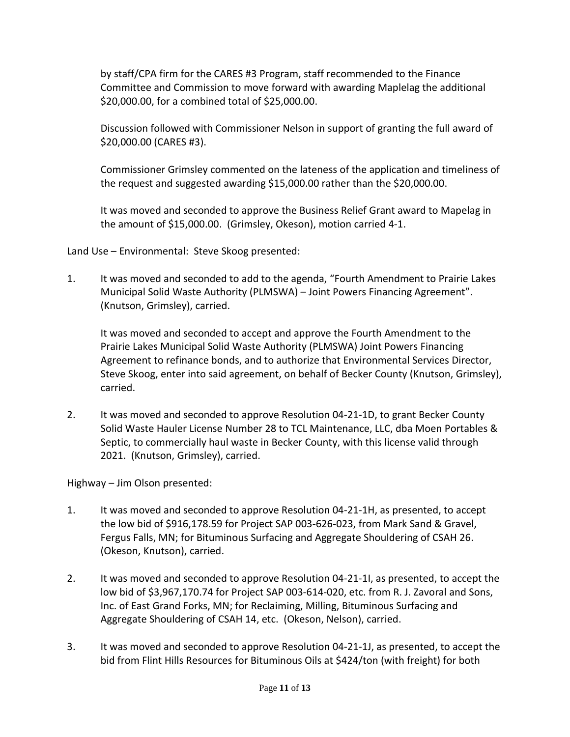by staff/CPA firm for the CARES #3 Program, staff recommended to the Finance Committee and Commission to move forward with awarding Maplelag the additional \$20,000.00, for a combined total of \$25,000.00.

Discussion followed with Commissioner Nelson in support of granting the full award of \$20,000.00 (CARES #3).

Commissioner Grimsley commented on the lateness of the application and timeliness of the request and suggested awarding \$15,000.00 rather than the \$20,000.00.

It was moved and seconded to approve the Business Relief Grant award to Mapelag in the amount of \$15,000.00. (Grimsley, Okeson), motion carried 4-1.

Land Use – Environmental: Steve Skoog presented:

1. It was moved and seconded to add to the agenda, "Fourth Amendment to Prairie Lakes Municipal Solid Waste Authority (PLMSWA) – Joint Powers Financing Agreement". (Knutson, Grimsley), carried.

It was moved and seconded to accept and approve the Fourth Amendment to the Prairie Lakes Municipal Solid Waste Authority (PLMSWA) Joint Powers Financing Agreement to refinance bonds, and to authorize that Environmental Services Director, Steve Skoog, enter into said agreement, on behalf of Becker County (Knutson, Grimsley), carried.

2. It was moved and seconded to approve Resolution 04-21-1D, to grant Becker County Solid Waste Hauler License Number 28 to TCL Maintenance, LLC, dba Moen Portables & Septic, to commercially haul waste in Becker County, with this license valid through 2021. (Knutson, Grimsley), carried.

Highway – Jim Olson presented:

- 1. It was moved and seconded to approve Resolution 04-21-1H, as presented, to accept the low bid of \$916,178.59 for Project SAP 003-626-023, from Mark Sand & Gravel, Fergus Falls, MN; for Bituminous Surfacing and Aggregate Shouldering of CSAH 26. (Okeson, Knutson), carried.
- 2. It was moved and seconded to approve Resolution 04-21-1I, as presented, to accept the low bid of \$3,967,170.74 for Project SAP 003-614-020, etc. from R. J. Zavoral and Sons, Inc. of East Grand Forks, MN; for Reclaiming, Milling, Bituminous Surfacing and Aggregate Shouldering of CSAH 14, etc. (Okeson, Nelson), carried.
- 3. It was moved and seconded to approve Resolution 04-21-1J, as presented, to accept the bid from Flint Hills Resources for Bituminous Oils at \$424/ton (with freight) for both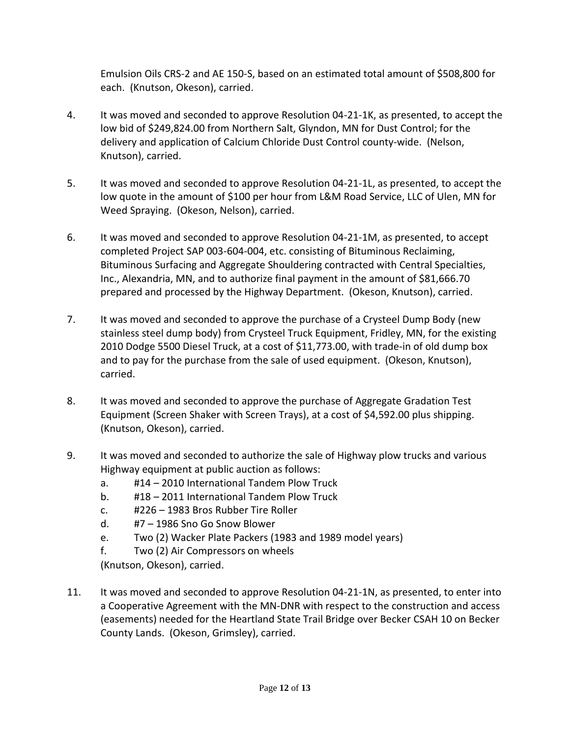Emulsion Oils CRS-2 and AE 150-S, based on an estimated total amount of \$508,800 for each. (Knutson, Okeson), carried.

- 4. It was moved and seconded to approve Resolution 04-21-1K, as presented, to accept the low bid of \$249,824.00 from Northern Salt, Glyndon, MN for Dust Control; for the delivery and application of Calcium Chloride Dust Control county-wide. (Nelson, Knutson), carried.
- 5. It was moved and seconded to approve Resolution 04-21-1L, as presented, to accept the low quote in the amount of \$100 per hour from L&M Road Service, LLC of Ulen, MN for Weed Spraying. (Okeson, Nelson), carried.
- 6. It was moved and seconded to approve Resolution 04-21-1M, as presented, to accept completed Project SAP 003-604-004, etc. consisting of Bituminous Reclaiming, Bituminous Surfacing and Aggregate Shouldering contracted with Central Specialties, Inc., Alexandria, MN, and to authorize final payment in the amount of \$81,666.70 prepared and processed by the Highway Department. (Okeson, Knutson), carried.
- 7. It was moved and seconded to approve the purchase of a Crysteel Dump Body (new stainless steel dump body) from Crysteel Truck Equipment, Fridley, MN, for the existing 2010 Dodge 5500 Diesel Truck, at a cost of \$11,773.00, with trade-in of old dump box and to pay for the purchase from the sale of used equipment. (Okeson, Knutson), carried.
- 8. It was moved and seconded to approve the purchase of Aggregate Gradation Test Equipment (Screen Shaker with Screen Trays), at a cost of \$4,592.00 plus shipping. (Knutson, Okeson), carried.
- 9. It was moved and seconded to authorize the sale of Highway plow trucks and various Highway equipment at public auction as follows:
	- a. #14 2010 International Tandem Plow Truck
	- b. #18 2011 International Tandem Plow Truck
	- c. #226 1983 Bros Rubber Tire Roller
	- d. #7 1986 Sno Go Snow Blower
	- e. Two (2) Wacker Plate Packers (1983 and 1989 model years)
	- f. Two (2) Air Compressors on wheels

(Knutson, Okeson), carried.

11. It was moved and seconded to approve Resolution 04-21-1N, as presented, to enter into a Cooperative Agreement with the MN-DNR with respect to the construction and access (easements) needed for the Heartland State Trail Bridge over Becker CSAH 10 on Becker County Lands. (Okeson, Grimsley), carried.